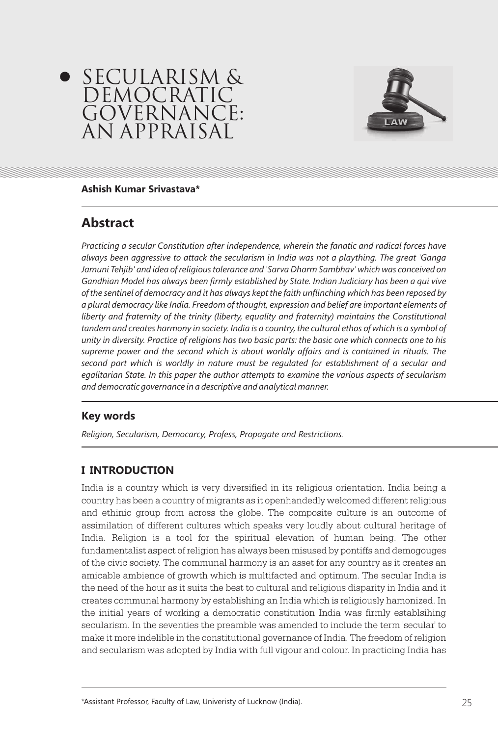



#### **Ashish Kumar Srivastava\***

# **Abstract**

*Practicing a secular Constitution after independence, wherein the fanatic and radical forces have always been aggressive to attack the secularism in India was not a plaything. The great 'Ganga Jamuni Tehjib' and idea of religious tolerance and 'Sarva Dharm Sambhav' which was conceived on Gandhian Model has always been firmly established by State. Indian Judiciary has been a qui vive of the sentinel of democracy and it has always kept the faith unflinching which has been reposed by a plural democracy like India. Freedom of thought, expression and belief are important elements of*  liberty and fraternity of the trinity (liberty, equality and fraternity) maintains the Constitutional tandem and creates harmony in society. India is a country, the cultural ethos of which is a symbol of *unity in diversity. Practice of religions has two basic parts: the basic one which connects one to his supreme power and the second which is about worldly affairs and is contained in rituals. The second part which is worldly in nature must be regulated for establishment of a secular and egalitarian State. In this paper the author attempts to examine the various aspects of secularism and democratic governance in a descriptive and analytical manner.*

# **Key words**

*Religion, Secularism, Democarcy, Profess, Propagate and Restrictions.*

# **I INTRODUCTION**

India is a country which is very diversified in its religious orientation. India being a country has been a country of migrants as it openhandedly welcomed different religious and ethinic group from across the globe. The composite culture is an outcome of assimilation of different cultures which speaks very loudly about cultural heritage of India. Religion is a tool for the spiritual elevation of human being. The other fundamentalist aspect of religion has always been misused by pontiffs and demogouges of the civic society. The communal harmony is an asset for any country as it creates an amicable ambience of growth which is multifacted and optimum. The secular India is the need of the hour as it suits the best to cultural and religious disparity in India and it creates communal harmony by establishing an India which is religiously hamonized. In the initial years of working a democratic constitution India was firmly establsihing secularism. In the seventies the preamble was amended to include the term 'secular' to make it more indelible in the constitutional governance of India. The freedom of religion and secularism was adopted by India with full vigour and colour. In practicing India has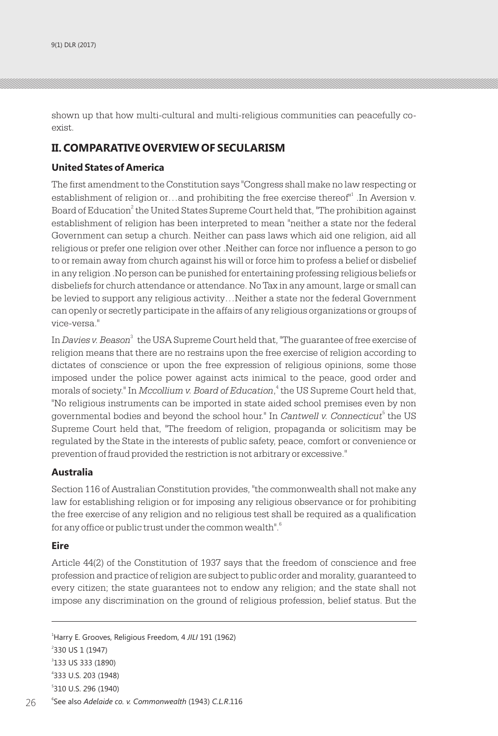shown up that how multi-cultural and multi-religious communities can peacefully coexist.

# **II. COMPARATIVE OVERVIEW OF SECULARISM**

### **United States of America**

The first amendment to the Constitution says "Congress shall make no law respecting or establishment of religion or…and prohibiting the free exercise thereof<sup>11</sup> .In Aversion v. Board of Education $^2$  the United States Supreme Court held that, "The prohibition against establishment of religion has been interpreted to mean "neither a state nor the federal Government can setup a church. Neither can pass laws which aid one religion, aid all religious or prefer one religion over other .Neither can force nor influence a person to go to or remain away from church against his will or force him to profess a belief or disbelief in any religion .No person can be punished for entertaining professing religious beliefs or disbeliefs for church attendance or attendance. No Tax in any amount, large or small can be levied to support any religious activity…Neither a state nor the federal Government can openly or secretly participate in the affairs of any religious organizations or groups of vice-versa."

In *Davies v. Beason* $^3$  the USA Supreme Court held that, "The guarantee of free exercise of religion means that there are no restrains upon the free exercise of religion according to dictates of conscience or upon the free expression of religious opinions, some those imposed under the police power against acts inimical to the peace, good order and <sup>4</sup> morals of society." In *Mccollium v. Board of Education*, the US Supreme Court held that, "No religious instruments can be imported in state aided school premises even by non governmental bodies and beyond the school hour." In *Cantwell v. Connecticut*<sup>5</sup> the US Supreme Court held that, "The freedom of religion, propaganda or solicitism may be regulated by the State in the interests of public safety, peace, comfort or convenience or prevention of fraud provided the restriction is not arbitrary or excessive."

### **Australia**

Section 116 of Australian Constitution provides, "the commonwealth shall not make any law for establishing religion or for imposing any religious observance or for prohibiting the free exercise of any religion and no religious test shall be required as a qualification 6 for any office or public trust under the common wealth".

### **Eire**

Article 44(2) of the Constitution of 1937 says that the freedom of conscience and free profession and practice of religion are subject to public order and morality, guaranteed to every citizen; the state guarantees not to endow any religion; and the state shall not impose any discrimination on the ground of religious profession, belief status. But the

Harry E. Grooves, Religious Freedom, 4 *JILI* 191 (1962) 330 US 1 (1947) 133 US 333 (1890) 333 U.S. 203 (1948) 310 U.S. 296 (1940)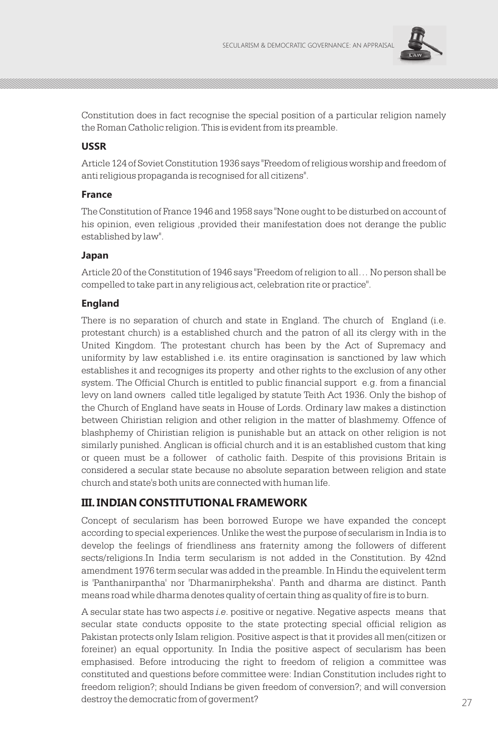

Constitution does in fact recognise the special position of a particular religion namely the Roman Catholic religion. This is evident from its preamble.

### **USSR**

Article 124 of Soviet Constitution 1936 says "Freedom of religious worship and freedom of anti religious propaganda is recognised for all citizens".

#### **France**

The Constitution of France 1946 and 1958 says "None ought to be disturbed on account of his opinion, even religious ,provided their manifestation does not derange the public established by law".

#### **Japan**

Article 20 of the Constitution of 1946 says "Freedom of religion to all… No person shall be compelled to take part in any religious act, celebration rite or practice".

### **England**

There is no separation of church and state in England. The church of England (i.e. protestant church) is a established church and the patron of all its clergy with in the United Kingdom. The protestant church has been by the Act of Supremacy and uniformity by law established i.e. its entire oraginsation is sanctioned by law which establishes it and recogniges its property and other rights to the exclusion of any other system. The Official Church is entitled to public financial support e.g. from a financial levy on land owners called title legaliged by statute Teith Act 1936. Only the bishop of the Church of England have seats in House of Lords. Ordinary law makes a distinction between Chiristian religion and other religion in the matter of blashmemy. Offence of blashphemy of Chiristian religion is punishable but an attack on other religion is not similarly punished. Anglican is official church and it is an established custom that king or queen must be a follower of catholic faith. Despite of this provisions Britain is considered a secular state because no absolute separation between religion and state church and state's both units are connected with human life.

### **III. INDIAN CONSTITUTIONAL FRAMEWORK**

Concept of secularism has been borrowed Europe we have expanded the concept according to special experiences. Unlike the west the purpose of secularism in India is to develop the feelings of friendliness ans fraternity among the followers of different sects/religions.In India term secularism is not added in the Constitution. By 42nd amendment 1976 term secular was added in the preamble. In Hindu the equivelent term is 'Panthanirpantha' nor 'Dharmanirpheksha'. Panth and dharma are distinct. Panth means road while dharma denotes quality of certain thing as quality of fire is to burn.

A secular state has two aspects *i.e*. positive or negative. Negative aspects means that secular state conducts opposite to the state protecting special official religion as Pakistan protects only Islam religion. Positive aspect is that it provides all men(citizen or foreiner) an equal opportunity. In India the positive aspect of secularism has been emphasised. Before introducing the right to freedom of religion a committee was constituted and questions before committee were: Indian Constitution includes right to freedom religion?; should Indians be given freedom of conversion?; and will conversion destroy the democratic from of goverment? 27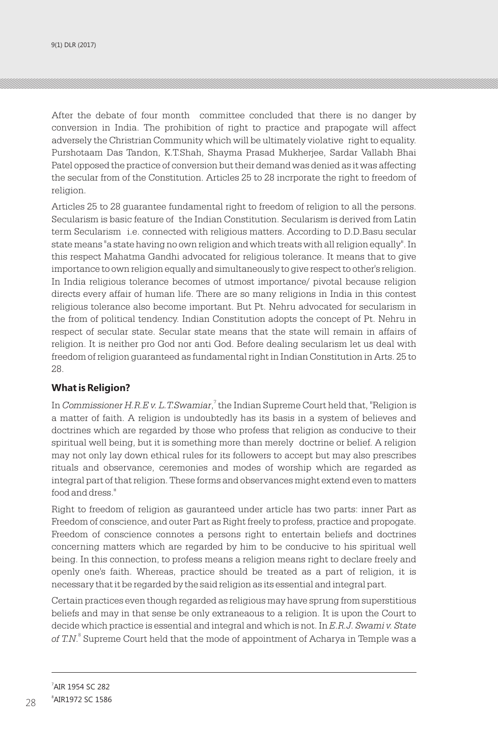After the debate of four month committee concluded that there is no danger by conversion in India. The prohibition of right to practice and prapogate will affect adversely the Christrian Community which will be ultimately violative right to equality. Purshotaam Das Tandon, K.T.Shah, Shayma Prasad Mukherjee, Sardar Vallabh Bhai Patel opposed the practice of conversion but their demand was denied as it was affecting the secular from of the Constitution. Articles 25 to 28 incrporate the right to freedom of religion.

Articles 25 to 28 guarantee fundamental right to freedom of religion to all the persons. Secularism is basic feature of the Indian Constitution. Secularism is derived from Latin term Secularism i.e. connected with religious matters. According to D.D.Basu secular state means "a state having no own religion and which treats with all religion equally". In this respect Mahatma Gandhi advocated for religious tolerance. It means that to give importance to own religion equally and simultaneously to give respect to other's religion. In India religious tolerance becomes of utmost importance/ pivotal because religion directs every affair of human life. There are so many religions in India in this contest religious tolerance also become important. But Pt. Nehru advocated for secularism in the from of political tendency. Indian Constitution adopts the concept of Pt. Nehru in respect of secular state. Secular state means that the state will remain in affairs of religion. It is neither pro God nor anti God. Before dealing secularism let us deal with freedom of religion guaranteed as fundamental right in Indian Constitution in Arts. 25 to 28.

### **What is Religion?**

In *Commissioner H.R.E v. L.T.Swamiar,* <sup>7</sup> the Indian Supreme Court held that, "Religion is a matter of faith. A religion is undoubtedly has its basis in a system of believes and doctrines which are regarded by those who profess that religion as conducive to their spiritual well being, but it is something more than merely doctrine or belief. A religion may not only lay down ethical rules for its followers to accept but may also prescribes rituals and observance, ceremonies and modes of worship which are regarded as integral part of that religion. These forms and observances might extend even to matters food and dress."

Right to freedom of religion as gauranteed under article has two parts: inner Part as Freedom of conscience, and outer Part as Right freely to profess, practice and propogate. Freedom of conscience connotes a persons right to entertain beliefs and doctrines concerning matters which are regarded by him to be conducive to his spiritual well being. In this connection, to profess means a religion means right to declare freely and openly one's faith. Whereas, practice should be treated as a part of religion, it is necessary that it be regarded by the said religion as its essential and integral part.

Certain practices even though regarded as religious may have sprung from superstitious beliefs and may in that sense be only extraneaous to a religion. It is upon the Court to decide which practice is essential and integral and which is not. In *E.R.J. Swami v. State*  of T.N.<sup>8</sup> Supreme Court held that the mode of appointment of Acharya in Temple was a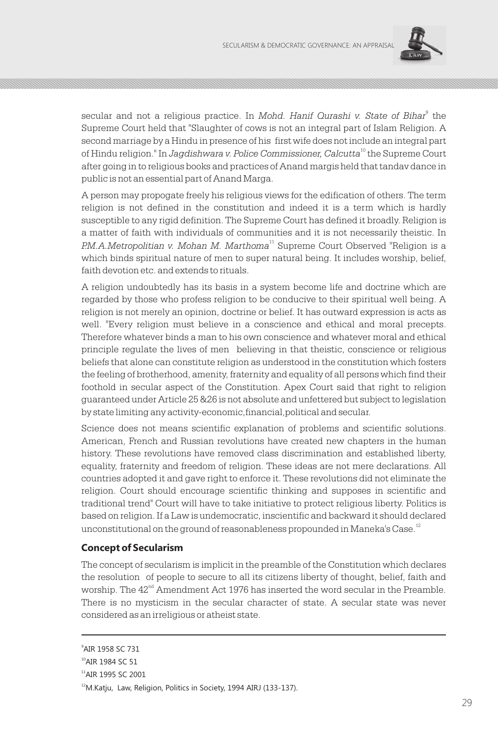

secular and not a religious practice. In *Mohd. Hanif Qurashi v. State of Bihar*<sup>9</sup> the Supreme Court held that "Slaughter of cows is not an integral part of Islam Religion. A second marriage by a Hindu in presence of his first wife does not include an integral part <sup>10</sup> of Hindu religion." In *Jagdishwara v. Police Commissioner, Calcutta* the Supreme Court after going in to religious books and practices of Anand margis held that tandav dance in public is not an essential part of Anand Marga.

A person may propogate freely his religious views for the edification of others. The term religion is not defined in the constitution and indeed it is a term which is hardly susceptible to any rigid definition. The Supreme Court has defined it broadly. Religion is a matter of faith with individuals of communities and it is not necessarily theistic. In P.M.A.Metropolitian v. Mohan M. Marthoma<sup>11</sup> Supreme Court Observed "Religion is a which binds spiritual nature of men to super natural being. It includes worship, belief, faith devotion etc. and extends to rituals.

A religion undoubtedly has its basis in a system become life and doctrine which are regarded by those who profess religion to be conducive to their spiritual well being. A religion is not merely an opinion, doctrine or belief. It has outward expression is acts as well. "Every religion must believe in a conscience and ethical and moral precepts. Therefore whatever binds a man to his own conscience and whatever moral and ethical principle regulate the lives of men believing in that theistic, conscience or religious beliefs that alone can constitute religion as understood in the constitution which fosters the feeling of brotherhood, amenity, fraternity and equality of all persons which find their foothold in secular aspect of the Constitution. Apex Court said that right to religion guaranteed under Article 25 &26 is not absolute and unfettered but subject to legislation by state limiting any activity-economic,financial,political and secular.

Science does not means scientific explanation of problems and scientific solutions. American, French and Russian revolutions have created new chapters in the human history. These revolutions have removed class discrimination and established liberty, equality, fraternity and freedom of religion. These ideas are not mere declarations. All countries adopted it and gave right to enforce it. These revolutions did not eliminate the religion. Court should encourage scientific thinking and supposes in scientific and traditional trend" Court will have to take initiative to protect religious liberty. Politics is based on religion. If a Law is undemocratic, inscientific and backward it should declared unconstitutional on the ground of reasonableness propounded in Maneka's Case.<sup>12</sup>

### **Concept of Secularism**

The concept of secularism is implicit in the preamble of the Constitution which declares the resolution of people to secure to all its citizens liberty of thought, belief, faith and worship. The  $42<sup>nd</sup>$  Amendment Act 1976 has inserted the word secular in the Preamble. There is no mysticism in the secular character of state. A secular state was never considered as an irreligious or atheist state.

<sup>9</sup> AIR 1958 SC 731

<sup>&</sup>lt;sup>10</sup>AIR 1984 SC 51

<sup>&</sup>lt;sup>11</sup>AIR 1995 SC 2001

<sup>&</sup>lt;sup>12</sup>M.Katju, Law, Religion, Politics in Society, 1994 AIRJ (133-137).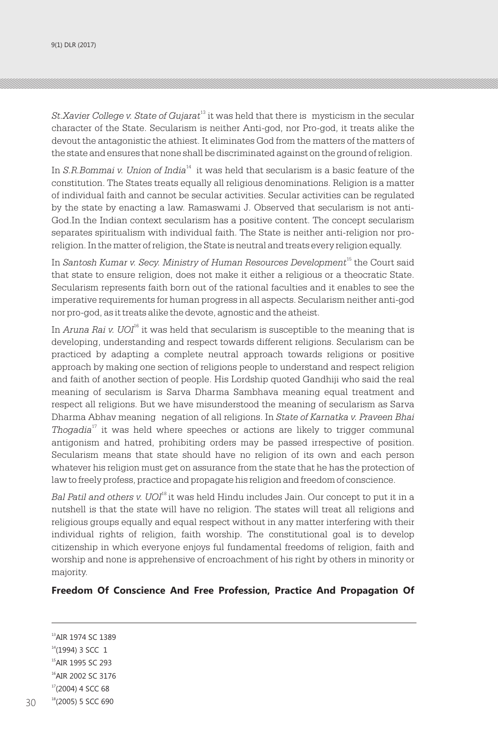<sup>13</sup> *St.Xavier College v. State of Gujarat* it was held that there is mysticism in the secular character of the State. Secularism is neither Anti-god, nor Pro-god, it treats alike the devout the antagonistic the athiest. It eliminates God from the matters of the matters of the state and ensures that none shall be discriminated against on the ground of religion.

In *S.R.Bommai v. Union of India*<sup>14</sup> it was held that secularism is a basic feature of the constitution. The States treats equally all religious denominations. Religion is a matter of individual faith and cannot be secular activities. Secular activities can be regulated by the state by enacting a law. Ramaswami J. Observed that secularism is not anti-God.In the Indian context secularism has a positive content. The concept secularism separates spiritualism with individual faith. The State is neither anti-religion nor proreligion. In the matter of religion, the State is neutral and treats every religion equally.

<sup>15</sup> In *Santosh Kumar v. Secy. Ministry of Human Resources Development* the Court said that state to ensure religion, does not make it either a religious or a theocratic State. Secularism represents faith born out of the rational faculties and it enables to see the imperative requirements for human progress in all aspects. Secularism neither anti-god nor pro-god, as it treats alike the devote, agnostic and the atheist.

In *Aruna Rai v. UOI*<sup>16</sup> it was held that secularism is susceptible to the meaning that is developing, understanding and respect towards different religions. Secularism can be practiced by adapting a complete neutral approach towards religions or positive approach by making one section of religions people to understand and respect religion and faith of another section of people. His Lordship quoted Gandhiji who said the real meaning of secularism is Sarva Dharma Sambhava meaning equal treatment and respect all religions. But we have misunderstood the meaning of secularism as Sarva Dharma Abhav meaning negation of all religions. In *State of Karnatka v. Praveen Bhai*  <sup>17</sup> *Thogadia* it was held where speeches or actions are likely to trigger communal antigonism and hatred, prohibiting orders may be passed irrespective of position. Secularism means that state should have no religion of its own and each person whatever his religion must get on assurance from the state that he has the protection of law to freely profess, practice and propagate his religion and freedom of conscience.

Bal Patil and others v. UOI<sup>18</sup> it was held Hindu includes Jain. Our concept to put it in a nutshell is that the state will have no religion. The states will treat all religions and religious groups equally and equal respect without in any matter interfering with their individual rights of religion, faith worship. The constitutional goal is to develop citizenship in which everyone enjoys ful fundamental freedoms of religion, faith and worship and none is apprehensive of encroachment of his right by others in minority or majority.

#### **Freedom Of Conscience And Free Profession, Practice And Propagation Of**

<sup>13</sup>AIR 1974 SC 1389  $14(1994)$  3 SCC 1 <sup>15</sup>AIR 1995 SC 293 <sup>16</sup>AIR 2002 SC 3176  $17(2004)$  4 SCC 68 <sup>18</sup>(2005) 5 SCC 690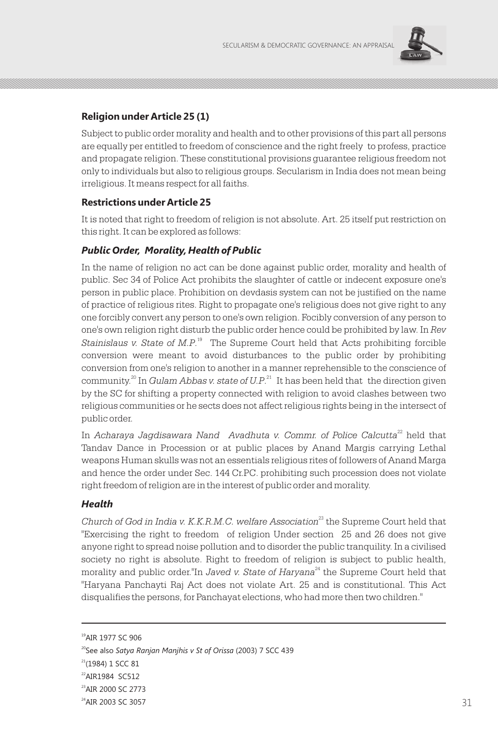

## **Religion under Article 25 (1)**

Subject to public order morality and health and to other provisions of this part all persons are equally per entitled to freedom of conscience and the right freely to profess, practice and propagate religion. These constitutional provisions guarantee religious freedom not only to individuals but also to religious groups. Secularism in India does not mean being irreligious. It means respect for all faiths.

### **Restrictions under Article 25**

It is noted that right to freedom of religion is not absolute. Art. 25 itself put restriction on this right. It can be explored as follows:

### *Public Order, Morality, Health of Public*

In the name of religion no act can be done against public order, morality and health of public. Sec 34 of Police Act prohibits the slaughter of cattle or indecent exposure one's person in public place. Prohibition on devdasis system can not be justified on the name of practice of religious rites. Right to propagate one's religious does not give right to any one forcibly convert any person to one's own religion. Focibly conversion of any person to one's own religion right disturb the public order hence could be prohibited by law. In *Rev*  Stainislaus v. State of M.P.<sup>19</sup> The Supreme Court held that Acts prohibiting forcible conversion were meant to avoid disturbances to the public order by prohibiting conversion from one's religion to another in a manner reprehensible to the conscience of community.<sup>20</sup> In *Gulam Abbas v. state of U.P.*<sup>21</sup> It has been held that the direction given by the SC for shifting a property connected with religion to avoid clashes between two religious communities or he sects does not affect religious rights being in the intersect of public order.

In *Acharaya Jagdisawara Nand Avadhuta v. Commr. of Police Calcutta<sup>22</sup> held that* Tandav Dance in Procession or at public places by Anand Margis carrying Lethal weapons Human skulls was not an essentials religious rites of followers of Anand Marga and hence the order under Sec. 144 Cr.PC. prohibiting such procession does not violate right freedom of religion are in the interest of public order and morality.

### *Health*

Church of God in India v. K.K.R.M.C. welfare Association<sup>23</sup> the Supreme Court held that "Exercising the right to freedom of religion Under section 25 and 26 does not give anyone right to spread noise pollution and to disorder the public tranquility. In a civilised society no right is absolute. Right to freedom of religion is subject to public health, morality and public order."In *Javed v. State of Haryana*<sup>24</sup> the Supreme Court held that "Haryana Panchayti Raj Act does not violate Art. 25 and is constitutional. This Act disqualifies the persons, for Panchayat elections, who had more then two children."

<sup>&</sup>lt;sup>19</sup>AIR 1977 SC 906

<sup>20</sup>See also *Satya Ranjan Manjhis v St of Orissa* (2003) 7 SCC 439

 $21(1984)$  1 SCC 81

<sup>22</sup>AIR1984 SC512

<sup>&</sup>lt;sup>23</sup>AIR 2000 SC 2773

<sup>&</sup>lt;sup>24</sup>AIR 2003 SC 3057  $^{24}$ AIR 2003 SC 3057 31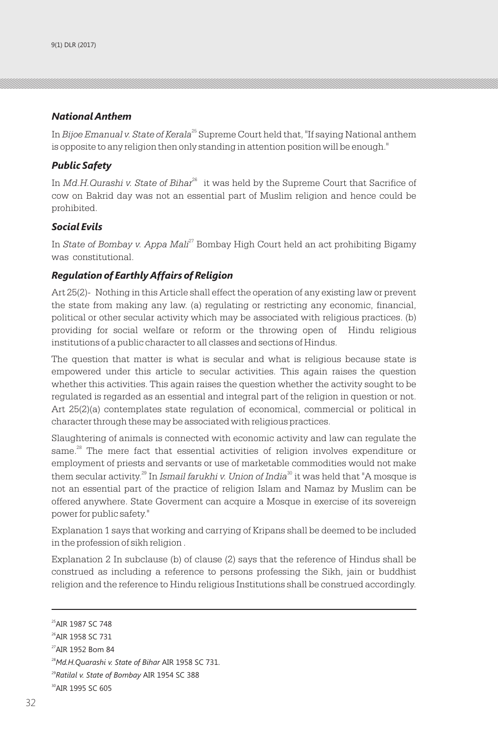### *National Anthem*

In *Bijoe Emanual v. State of Kerala*<sup>25</sup> Supreme Court held that, "If saying National anthem is opposite to any religion then only standing in attention position will be enough."

### *Public Safety*

In *Md.H.Qurashi v. State of Bihar*<sup>26</sup> it was held by the Supreme Court that Sacrifice of cow on Bakrid day was not an essential part of Muslim religion and hence could be prohibited.

### *Social Evils*

In *State of Bombay v. Appa Mali<sup>27</sup>* Bombay High Court held an act prohibiting Bigamy was constitutional.

### *Regulation of Earthly Affairs of Religion*

Art 25(2)- Nothing in this Article shall effect the operation of any existing law or prevent the state from making any law. (a) regulating or restricting any economic, financial, political or other secular activity which may be associated with religious practices. (b) providing for social welfare or reform or the throwing open of Hindu religious institutions of a public character to all classes and sections of Hindus.

The question that matter is what is secular and what is religious because state is empowered under this article to secular activities. This again raises the question whether this activities. This again raises the question whether the activity sought to be regulated is regarded as an essential and integral part of the religion in question or not. Art 25(2)(a) contemplates state regulation of economical, commercial or political in character through these may be associated with religious practices.

Slaughtering of animals is connected with economic activity and law can regulate the same. $28$  The mere fact that essential activities of religion involves expenditure or employment of priests and servants or use of marketable commodities would not make them secular activity.<sup>29</sup> In *Ismail farukhi v. Union of India*<sup>30</sup> it was held that "A mosque is not an essential part of the practice of religion Islam and Namaz by Muslim can be offered anywhere. State Goverment can acquire a Mosque in exercise of its sovereign power for public safety."

Explanation 1 says that working and carrying of Kripans shall be deemed to be included in the profession of sikh religion .

Explanation 2 In subclause (b) of clause (2) says that the reference of Hindus shall be construed as including a reference to persons professing the Sikh, jain or buddhist religion and the reference to Hindu religious Institutions shall be construed accordingly.

<sup>&</sup>lt;sup>25</sup> AIR 1987 SC 748

<sup>26</sup>AIR 1958 SC 731

<sup>27</sup>AIR 1952 Bom 84

<sup>28</sup>*Md.H.Quarashi v. State of Bihar* AIR 1958 SC 731.

<sup>29</sup>*Ratilal v. State of Bombay* AIR 1954 SC 388

<sup>30</sup>AIR 1995 SC 605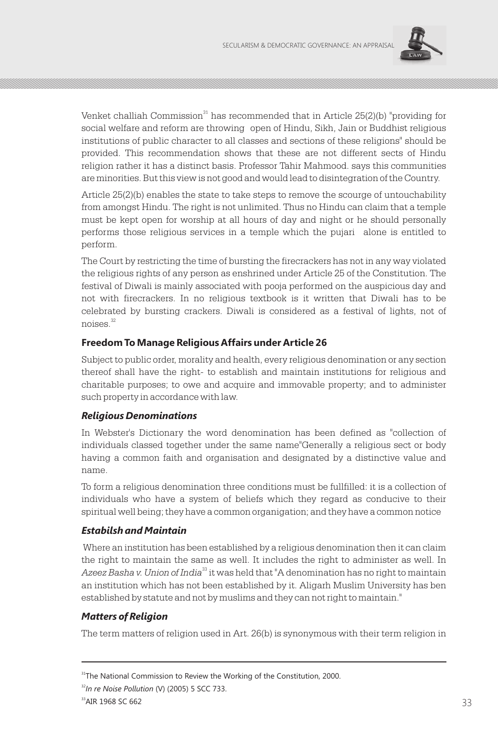

Venket challiah Commission $31$  has recommended that in Article 25(2)(b) "providing for social welfare and reform are throwing open of Hindu, Sikh, Jain or Buddhist religious institutions of public character to all classes and sections of these religions" should be provided. This recommendation shows that these are not different sects of Hindu religion rather it has a distinct basis. Professor Tahir Mahmood. says this communities are minorities. But this view is not good and would lead to disintegration of the Country.

Article 25(2)(b) enables the state to take steps to remove the scourge of untouchability from amongst Hindu. The right is not unlimited. Thus no Hindu can claim that a temple must be kept open for worship at all hours of day and night or he should personally performs those religious services in a temple which the pujari alone is entitled to perform.

The Court by restricting the time of bursting the firecrackers has not in any way violated the religious rights of any person as enshrined under Article 25 of the Constitution. The festival of Diwali is mainly associated with pooja performed on the auspicious day and not with firecrackers. In no religious textbook is it written that Diwali has to be celebrated by bursting crackers. Diwali is considered as a festival of lights, not of <sup>32</sup> noises.

### **Freedom To Manage Religious Affairs under Article 26**

Subject to public order, morality and health, every religious denomination or any section thereof shall have the right- to establish and maintain institutions for religious and charitable purposes; to owe and acquire and immovable property; and to administer such property in accordance with law.

### *Religious Denominations*

In Webster's Dictionary the word denomination has been defined as "collection of individuals classed together under the same name"Generally a religious sect or body having a common faith and organisation and designated by a distinctive value and name.

To form a religious denomination three conditions must be fullfilled: it is a collection of individuals who have a system of beliefs which they regard as conducive to their spiritual well being; they have a common organigation; and they have a common notice

### *Estabilsh and Maintain*

 Where an institution has been established by a religious denomination then it can claim the right to maintain the same as well. It includes the right to administer as well. In <sup>33</sup> *Azeez Basha v. Union of India* it was held that "A denomination has no right to maintain an institution which has not been established by it. Aligarh Muslim University has ben established by statute and not by muslims and they can not right to maintain."

### *Matters of Religion*

The term matters of religion used in Art. 26(b) is synonymous with their term religion in

<sup>32</sup>*In re Noise Pollution* (V) (2005) 5 SCC 733.

<sup>&</sup>lt;sup>31</sup>The National Commission to Review the Working of the Constitution, 2000.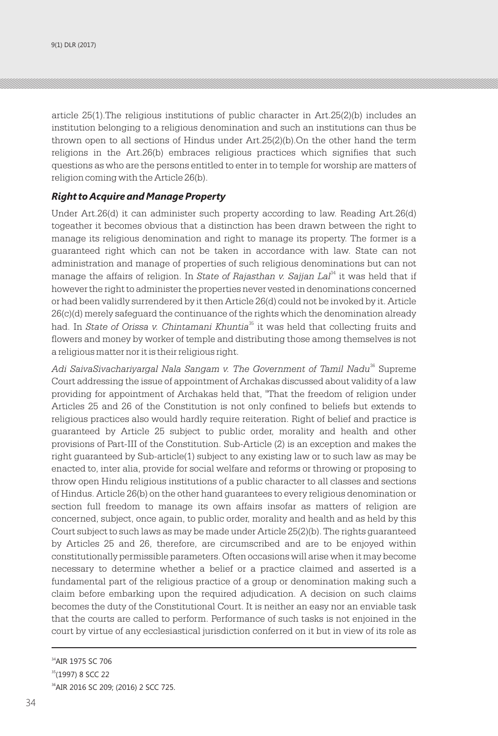article 25(1).The religious institutions of public character in Art.25(2)(b) includes an institution belonging to a religious denomination and such an institutions can thus be thrown open to all sections of Hindus under Art.25(2)(b).On the other hand the term religions in the Art.26(b) embraces religious practices which signifies that such questions as who are the persons entitled to enter in to temple for worship are matters of religion coming with the Article 26(b).

#### *Right to Acquire and Manage Property*

Under Art.26(d) it can administer such property according to law. Reading Art.26(d) togeather it becomes obvious that a distinction has been drawn between the right to manage its religious denomination and right to manage its property. The former is a guaranteed right which can not be taken in accordance with law. State can not administration and manage of properties of such religious denominations but can not manage the affairs of religion. In *State of Rajasthan v. Sajjan Lal*<sup>34</sup> it was held that if however the right to administer the properties never vested in denominations concerned or had been validly surrendered by it then Article 26(d) could not be invoked by it. Article 26(c)(d) merely safeguard the continuance of the rights which the denomination already <sup>35</sup> had. In *State of Orissa v. Chintamani Khuntia* it was held that collecting fruits and flowers and money by worker of temple and distributing those among themselves is not a religious matter nor it is their religious right.

Adi SaivaSivachariyargal Nala Sangam v. The Government of Tamil Nadu<sup>36</sup> Supreme Court addressing the issue of appointment of Archakas discussed about validity of a law providing for appointment of Archakas held that, "That the freedom of religion under Articles 25 and 26 of the Constitution is not only confined to beliefs but extends to religious practices also would hardly require reiteration. Right of belief and practice is guaranteed by Article 25 subject to public order, morality and health and other provisions of Part-III of the Constitution. Sub-Article (2) is an exception and makes the right guaranteed by Sub-article(1) subject to any existing law or to such law as may be enacted to, inter alia, provide for social welfare and reforms or throwing or proposing to throw open Hindu religious institutions of a public character to all classes and sections of Hindus. Article 26(b) on the other hand guarantees to every religious denomination or section full freedom to manage its own affairs insofar as matters of religion are concerned, subject, once again, to public order, morality and health and as held by this Court subject to such laws as may be made under Article 25(2)(b). The rights guaranteed by Articles 25 and 26, therefore, are circumscribed and are to be enjoyed within constitutionally permissible parameters. Often occasions will arise when it may become necessary to determine whether a belief or a practice claimed and asserted is a fundamental part of the religious practice of a group or denomination making such a claim before embarking upon the required adjudication. A decision on such claims becomes the duty of the Constitutional Court. It is neither an easy nor an enviable task that the courts are called to perform. Performance of such tasks is not enjoined in the court by virtue of any ecclesiastical jurisdiction conferred on it but in view of its role as

<sup>&</sup>lt;sup>34</sup>AIR 1975 SC 706 <sup>35</sup>(1997) 8 SCC 22 <sup>36</sup>AIR 2016 SC 209; (2016) 2 SCC 725.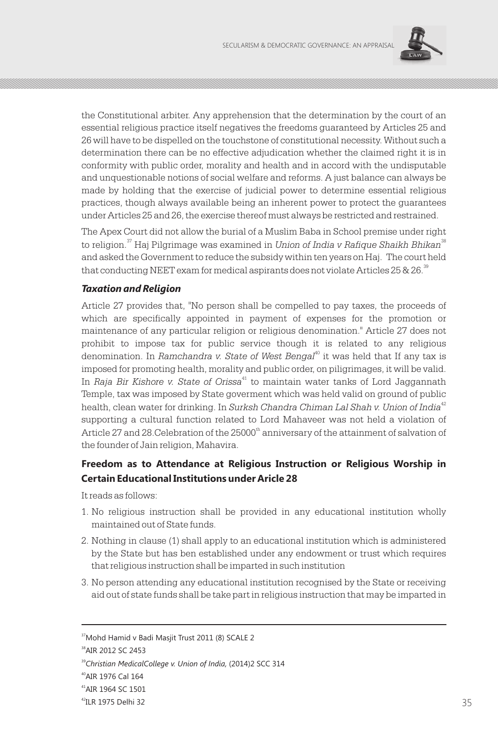

the Constitutional arbiter. Any apprehension that the determination by the court of an essential religious practice itself negatives the freedoms guaranteed by Articles 25 and 26 will have to be dispelled on the touchstone of constitutional necessity. Without such a determination there can be no effective adjudication whether the claimed right it is in conformity with public order, morality and health and in accord with the undisputable and unquestionable notions of social welfare and reforms. A just balance can always be made by holding that the exercise of judicial power to determine essential religious practices, though always available being an inherent power to protect the guarantees under Articles 25 and 26, the exercise thereof must always be restricted and restrained.

The Apex Court did not allow the burial of a Muslim Baba in School premise under right to religion.<sup>37</sup> Haj Pilgrimage was examined in *Union of India v Rafique Shaikh Bhikan*<sup>38</sup> and asked the Government to reduce the subsidy within ten years on Haj. The court held that conducting NEET exam for medical aspirants does not violate Articles 25 & 26. $^{\text{39}}$ 

### *Taxation and Religion*

Article 27 provides that, "No person shall be compelled to pay taxes, the proceeds of which are specifically appointed in payment of expenses for the promotion or maintenance of any particular religion or religious denomination." Article 27 does not prohibit to impose tax for public service though it is related to any religious denomination. In *Ramchandra v. State of West Bengal*<sup>10</sup> it was held that If any tax is imposed for promoting health, morality and public order, on piligrimages, it will be valid. <sup>41</sup> In *Raja Bir Kishore v. State of Orissa* to maintain water tanks of Lord Jaggannath Temple, tax was imposed by State goverment which was held valid on ground of public <sup>42</sup> health, clean water for drinking. In *Surksh Chandra Chiman Lal Shah v. Union of India* supporting a cultural function related to Lord Mahaveer was not held a violation of Article 27 and 28. Celebration of the 25000<sup>th</sup> anniversary of the attainment of salvation of the founder of Jain religion, Mahavira.

## **Freedom as to Attendance at Religious Instruction or Religious Worship in Certain Educational Institutions under Aricle 28**

It reads as follows:

- 1. No religious instruction shall be provided in any educational institution wholly maintained out of State funds.
- 2. Nothing in clause (1) shall apply to an educational institution which is administered by the State but has ben established under any endowment or trust which requires that religious instruction shall be imparted in such institution
- 3. No person attending any educational institution recognised by the State or receiving aid out of state funds shall be take part in religious instruction that may be imparted in

<sup>&</sup>lt;sup>37</sup>Mohd Hamid v Badi Masjit Trust 2011 (8) SCALE 2

<sup>38</sup>AIR 2012 SC 2453

<sup>39</sup>*Christian MedicalCollege v. Union of India,* (2014)2 SCC 314

<sup>40</sup>AIR 1976 Cal 164

<sup>41</sup>AIR 1964 SC 1501

 $^{42}$ ILR 1975 Delhi 32  $\hspace{1.5cm}$  35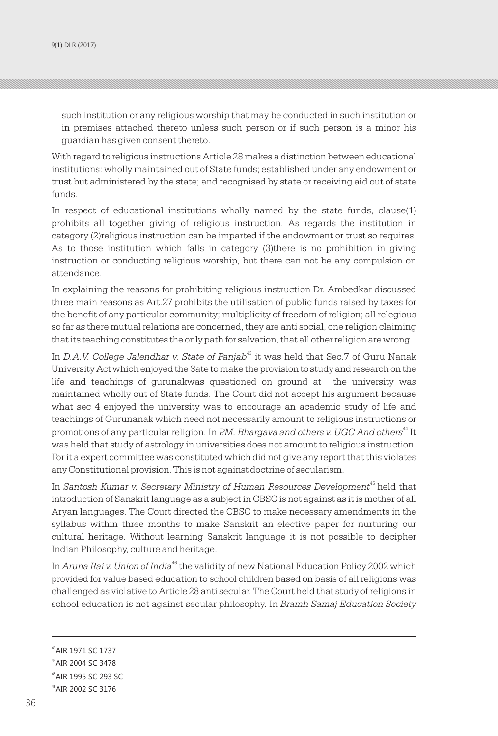such institution or any religious worship that may be conducted in such institution or in premises attached thereto unless such person or if such person is a minor his guardian has given consent thereto.

With regard to religious instructions Article 28 makes a distinction between educational institutions: wholly maintained out of State funds; established under any endowment or trust but administered by the state; and recognised by state or receiving aid out of state funds.

In respect of educational institutions wholly named by the state funds, clause(1) prohibits all together giving of religious instruction. As regards the institution in category (2)religious instruction can be imparted if the endowment or trust so requires. As to those institution which falls in category (3)there is no prohibition in giving instruction or conducting religious worship, but there can not be any compulsion on attendance.

In explaining the reasons for prohibiting religious instruction Dr. Ambedkar discussed three main reasons as Art.27 prohibits the utilisation of public funds raised by taxes for the benefit of any particular community; multiplicity of freedom of religion; all relegious so far as there mutual relations are concerned, they are anti social, one religion claiming that its teaching constitutes the only path for salvation, that all other religion are wrong.

<sup>43</sup> In *D.A.V. College Jalendhar v. State of Panjab* it was held that Sec.7 of Guru Nanak University Act which enjoyed the Sate to make the provision to study and research on the life and teachings of gurunakwas questioned on ground at the university was maintained wholly out of State funds. The Court did not accept his argument because what sec 4 enjoyed the university was to encourage an academic study of life and teachings of Gurunanak which need not necessarily amount to religious instructions or <sup>44</sup> promotions of any particular religion. In *P.M. Bhargava and others v. UGC And others* It was held that study of astrology in universities does not amount to religious instruction. For it a expert committee was constituted which did not give any report that this violates any Constitutional provision. This is not against doctrine of secularism.

In *Santosh Kumar v. Secretary Ministry of Human Resources Development*<sup>45</sup> held that introduction of Sanskrit language as a subject in CBSC is not against as it is mother of all Aryan languages. The Court directed the CBSC to make necessary amendments in the syllabus within three months to make Sanskrit an elective paper for nurturing our cultural heritage. Without learning Sanskrit language it is not possible to decipher Indian Philosophy, culture and heritage.

In *Aruna Rai v. Union of India*<sup>46</sup> the validity of new National Education Policy 2002 which provided for value based education to school children based on basis of all religions was challenged as violative to Article 28 anti secular. The Court held that study of religions in school education is not against secular philosophy. In *Bramh Samaj Education Society* 

<sup>43</sup>AIR 1971 SC 1737

<sup>&</sup>lt;sup>44</sup> AIR 2004 SC 3478

<sup>45</sup>AIR 1995 SC 293 SC

<sup>46</sup>AIR 2002 SC 3176